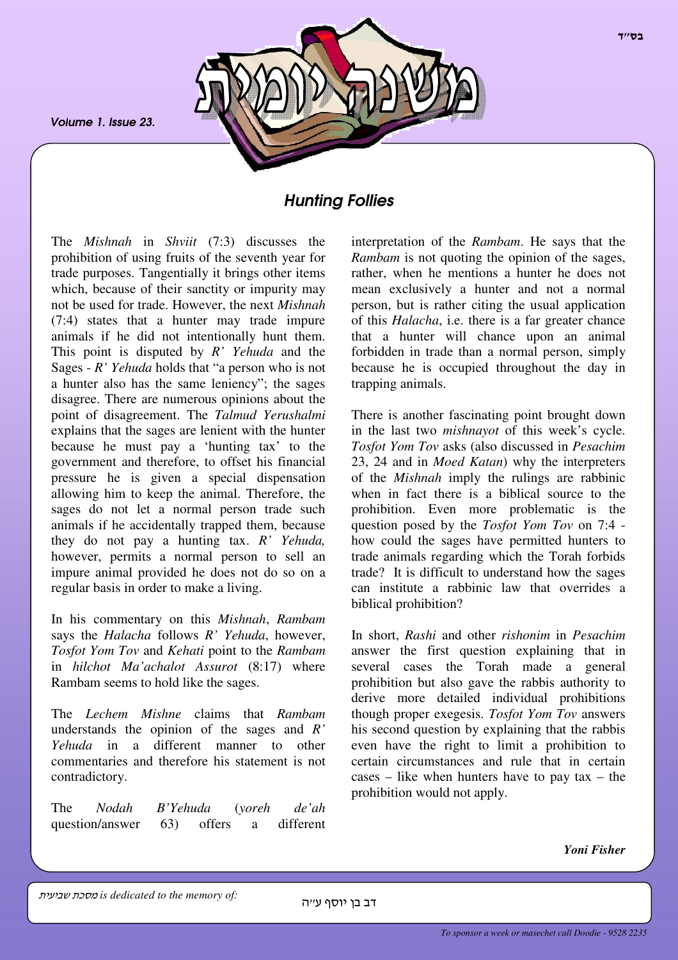*Volume 1. Issue 23.*



# *Hunting Follies*

The *Mishnah* in *Shviit* (7:3) discusses the prohibition of using fruits of the seventh year for trade purposes. Tangentially it brings other items which, because of their sanctity or impurity may not be used for trade. However, the next *Mishnah* (7:4) states that a hunter may trade impure animals if he did not intentionally hunt them. This point is disputed by *R' Yehuda* and the Sages - *R' Yehuda* holds that "a person who is not a hunter also has the same leniency"; the sages disagree. There are numerous opinions about the point of disagreement. The *Talmud Yerushalmi* explains that the sages are lenient with the hunter because he must pay a 'hunting tax' to the government and therefore, to offset his financial pressure he is given a special dispensation allowing him to keep the animal. Therefore, the sages do not let a normal person trade such animals if he accidentally trapped them, because they do not pay a hunting tax. *R' Yehuda,* however, permits a normal person to sell an impure animal provided he does not do so on a regular basis in order to make a living.

In his commentary on this *Mishnah*, *Rambam* says the *Halacha* follows *R' Yehuda*, however, *Tosfot Yom Tov* and *Kehati* point to the *Rambam* in *hilchot Ma'achalot Assurot* (8:17) where Rambam seems to hold like the sages.

The *Lechem Mishne* claims that *Rambam* understands the opinion of the sages and *R' Yehuda* in a different manner to other commentaries and therefore his statement is not contradictory.

The *Nodah B'Yehuda* (*yoreh de'ah* question/answer 63) offers a different

interpretation of the *Rambam*. He says that the *Rambam* is not quoting the opinion of the sages, rather, when he mentions a hunter he does not mean exclusively a hunter and not a normal person, but is rather citing the usual application of this *Halacha*, i.e. there is a far greater chance that a hunter will chance upon an animal forbidden in trade than a normal person, simply because he is occupied throughout the day in trapping animals.

There is another fascinating point brought down in the last two *mishnayot* of this week's cycle. *Tosfot Yom Tov* asks (also discussed in *Pesachim* 23, 24 and in *Moed Katan*) why the interpreters of the *Mishnah* imply the rulings are rabbinic when in fact there is a biblical source to the prohibition. Even more problematic is the question posed by the *Tosfot Yom Tov* on 7:4 how could the sages have permitted hunters to trade animals regarding which the Torah forbids trade? It is difficult to understand how the sages can institute a rabbinic law that overrides a biblical prohibition?

In short, *Rashi* and other *rishonim* in *Pesachim* answer the first question explaining that in several cases the Torah made a general prohibition but also gave the rabbis authority to derive more detailed individual prohibitions though proper exegesis. *Tosfot Yom Tov* answers his second question by explaining that the rabbis even have the right to limit a prohibition to certain circumstances and rule that in certain cases – like when hunters have to pay tax – the prohibition would not apply.

*Yoni Fisher*

- - *is dedicated to the memory of:*